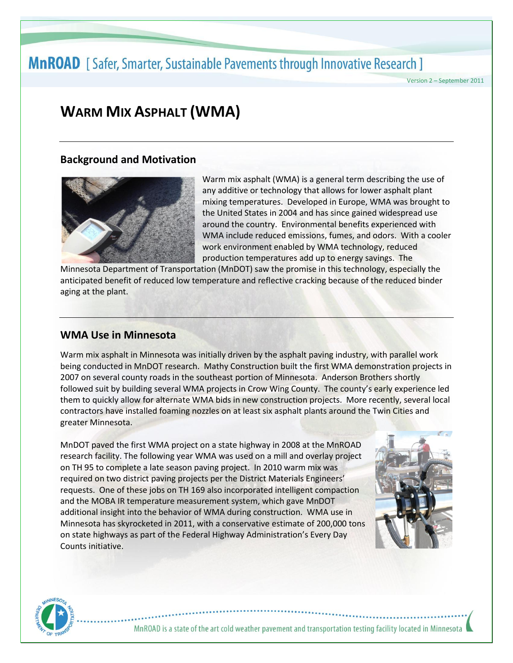# **MnROAD** [Safer, Smarter, Sustainable Pavements through Innovative Research ]

Version 2 – September 2011

# **WARM MIX ASPHALT (WMA)**

#### **Background and Motivation**



Warm mix asphalt (WMA) is a general term describing the use of any additive or technology that allows for lower asphalt plant mixing temperatures. Developed in Europe, WMA was brought to the United States in 2004 and has since gained widespread use around the country. Environmental benefits experienced with WMA include reduced emissions, fumes, and odors. With a cooler work environment enabled by WMA technology, reduced production temperatures add up to energy savings. The

Minnesota Department of Transportation (MnDOT) saw the promise in this technology, especially the anticipated benefit of reduced low temperature and reflective cracking because of the reduced binder aging at the plant.

### **WMA Use in Minnesota**

Warm mix asphalt in Minnesota was initially driven by the asphalt paving industry, with parallel work being conducted in MnDOT research. Mathy Construction built the first WMA demonstration projects in 2007 on several county roads in the southeast portion of Minnesota. Anderson Brothers shortly followed suit by building several WMA projects in Crow Wing County. The county's early experience led them to quickly allow for alternate WMA bids in new construction projects. More recently, several local contractors have installed foaming nozzles on at least six asphalt plants around the Twin Cities and greater Minnesota.

MnDOT paved the first WMA project on a state highway in 2008 at the MnROAD research facility. The following year WMA was used on a mill and overlay project on TH 95 to complete a late season paving project. In 2010 warm mix was required on two district paving projects per the District Materials Engineers' requests. One of these jobs on TH 169 also incorporated intelligent compaction and the MOBA IR temperature measurement system, which gave MnDOT additional insight into the behavior of WMA during construction. WMA use in Minnesota has skyrocketed in 2011, with a conservative estimate of 200,000 tons on state highways as part of the Federal Highway Administration's Every Day Counts initiative.





MnROAD is a state of the art cold weather pavement and transportation testing facility located in Minnesota